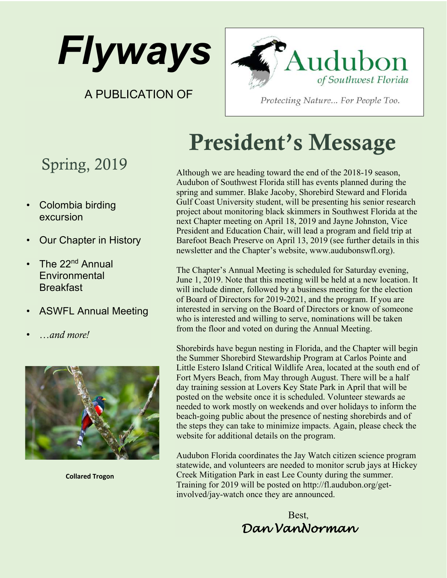

A PUBLICATION OF



Protecting Nature... For People Too.

### Spring, 2019

- Colombia birding excursion
- Our Chapter in History
- The 22<sup>nd</sup> Annual **Environmental Breakfast**
- ASWFL Annual Meeting
- *…and more!*



**Collared Trogon**

# President's Message

Although we are heading toward the end of the 2018-19 season, Audubon of Southwest Florida still has events planned during the spring and summer. Blake Jacoby, Shorebird Steward and Florida Gulf Coast University student, will be presenting his senior research project about monitoring black skimmers in Southwest Florida at the next Chapter meeting on April 18, 2019 and Jayne Johnston, Vice President and Education Chair, will lead a program and field trip at Barefoot Beach Preserve on April 13, 2019 (see further details in this newsletter and the Chapter's website, www.audubonswfl.org).

The Chapter's Annual Meeting is scheduled for Saturday evening, June 1, 2019. Note that this meeting will be held at a new location. It will include dinner, followed by a business meeting for the election of Board of Directors for 2019-2021, and the program. If you are interested in serving on the Board of Directors or know of someone who is interested and willing to serve, nominations will be taken from the floor and voted on during the Annual Meeting.

Shorebirds have begun nesting in Florida, and the Chapter will begin the Summer Shorebird Stewardship Program at Carlos Pointe and Little Estero Island Critical Wildlife Area, located at the south end of Fort Myers Beach, from May through August. There will be a half day training session at Lovers Key State Park in April that will be posted on the website once it is scheduled. Volunteer stewards ae needed to work mostly on weekends and over holidays to inform the beach-going public about the presence of nesting shorebirds and of the steps they can take to minimize impacts. Again, please check the website for additional details on the program.

Audubon Florida coordinates the Jay Watch citizen science program statewide, and volunteers are needed to monitor scrub jays at Hickey Creek Mitigation Park in east Lee County during the summer. Training for 2019 will be posted on http://fl.audubon.org/getinvolved/jay-watch once they are announced.

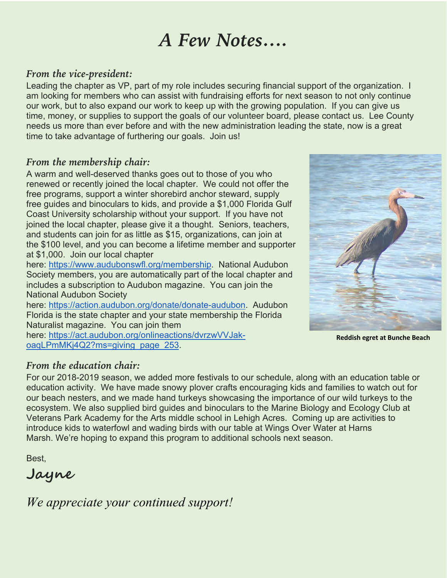## *A Few Notes….*

#### *From the vice-president:*

Leading the chapter as VP, part of my role includes securing financial support of the organization. I am looking for members who can assist with fundraising efforts for next season to not only continue our work, but to also expand our work to keep up with the growing population. If you can give us time, money, or supplies to support the goals of our volunteer board, please contact us. Lee County needs us more than ever before and with the new administration leading the state, now is a great time to take advantage of furthering our goals. Join us!

#### *From the membership chair:*

A warm and well-deserved thanks goes out to those of you who renewed or recently joined the local chapter. We could not offer the free programs, support a winter shorebird anchor steward, supply free guides and binoculars to kids, and provide a \$1,000 Florida Gulf Coast University scholarship without your support. If you have not joined the local chapter, please give it a thought. Seniors, teachers, and students can join for as little as \$15, organizations, can join at the \$100 level, and you can become a lifetime member and supporter at \$1,000. Join our local chapter

here: https://www.audubonswfl.org/membership. National Audubon Society members, you are automatically part of the local chapter and includes a subscription to Audubon magazine. You can join the National Audubon Society

here: https://action.audubon.org/donate/donate-audubon. Audubon Florida is the state chapter and your state membership the Florida Naturalist magazine. You can join them

here: https://act.audubon.org/onlineactions/dvrzwVVJakoagLPmMKj4Q2?ms=giving\_page\_253.



**Reddish egret at Bunche Beach**

#### *From the education chair:*

For our 2018-2019 season, we added more festivals to our schedule, along with an education table or education activity. We have made snowy plover crafts encouraging kids and families to watch out for our beach nesters, and we made hand turkeys showcasing the importance of our wild turkeys to the ecosystem. We also supplied bird guides and binoculars to the Marine Biology and Ecology Club at Veterans Park Academy for the Arts middle school in Lehigh Acres. Coming up are activities to introduce kids to waterfowl and wading birds with our table at Wings Over Water at Harns Marsh. We're hoping to expand this program to additional schools next season.

Best,

**Jayne**

*We appreciate your continued support!*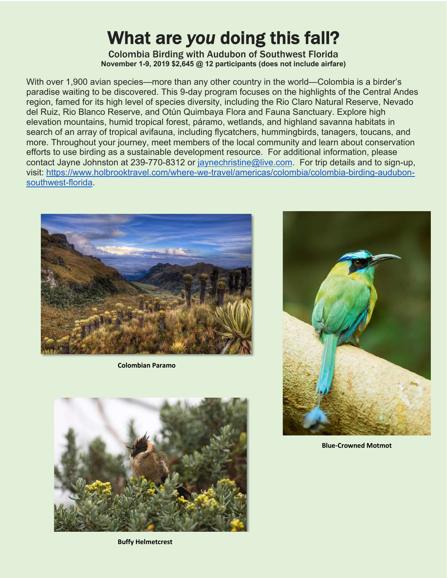# What are *you* doing this fall?<br>
Colombia Birding with Audubon of Southwest Florida

**November 1-9, 2019 \$2,645 @ 12 participants (does not include airfare)**

With over 1,900 avian species—more than any other country in the world—Colombia is a birder's paradise waiting to be discovered. This 9-day program focuses on the highlights of the Central Andes region, famed for its high level of species diversity, including the Rio Claro Natural Reserve, Nevado del Ruiz, Rio Blanco Reserve, and Otún Quimbaya Flora and Fauna Sanctuary. Explore high elevation mountains, humid tropical forest, páramo, wetlands, and highland savanna habitats in search of an array of tropical avifauna, including flycatchers, hummingbirds, tanagers, toucans, and more. Throughout your journey, meet members of the local community and learn about conservation efforts to use birding as a sustainable development resource. For additional information, please contact Jayne Johnston at 239-770-8312 or jaynechristine@live.com. For trip details and to sign-up, visit: https://www.holbrooktravel.com/where-we-travel/americas/colombia/colombia-birding-audubonsouthwest-florida.



**Colombian Paramo**







**Blue-Crowned Motmot**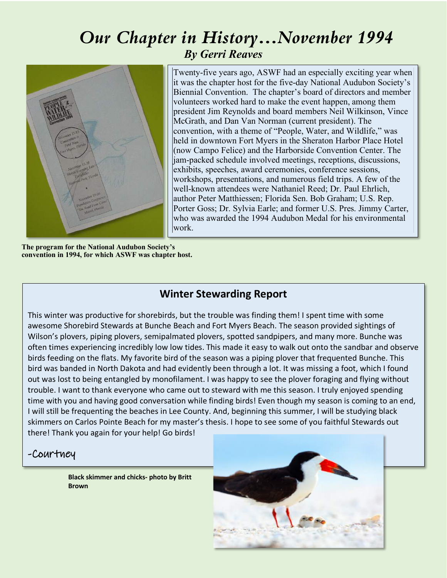### *Our Chapter in History…November 1994 By Gerri Reaves*



Twenty-five years ago, ASWF had an especially exciting year when it was the chapter host for the five-day National Audubon Society's Biennial Convention. The chapter's board of directors and member volunteers worked hard to make the event happen, among them president Jim Reynolds and board members Neil Wilkinson, Vince McGrath, and Dan Van Norman (current president). The convention, with a theme of "People, Water, and Wildlife," was held in downtown Fort Myers in the Sheraton Harbor Place Hotel (now Campo Felice) and the Harborside Convention Center. The jam-packed schedule involved meetings, receptions, discussions, exhibits, speeches, award ceremonies, conference sessions, workshops, presentations, and numerous field trips. A few of the well-known attendees were Nathaniel Reed; Dr. Paul Ehrlich, author Peter Matthiessen; Florida Sen. Bob Graham; U.S. Rep. Porter Goss; Dr. Sylvia Earle; and former U.S. Pres. Jimmy Carter, who was awarded the 1994 Audubon Medal for his environmental work.

**The program for the National Audubon Society's convention in 1994, for which ASWF was chapter host.** 

#### **Winter Stewarding Report**

This winter was productive for shorebirds, but the trouble was finding them! I spent time with some awesome Shorebird Stewards at Bunche Beach and Fort Myers Beach. The season provided sightings of Wilson's plovers, piping plovers, semipalmated plovers, spotted sandpipers, and many more. Bunche was often times experiencing incredibly low low tides. This made it easy to walk out onto the sandbar and observe birds feeding on the flats. My favorite bird of the season was a piping plover that frequented Bunche. This bird was banded in North Dakota and had evidently been through a lot. It was missing a foot, which I found out was lost to being entangled by monofilament. I was happy to see the plover foraging and flying without trouble. I want to thank everyone who came out to steward with me this season. I truly enjoyed spending time with you and having good conversation while finding birds! Even though my season is coming to an end, I will still be frequenting the beaches in Lee County. And, beginning this summer, I will be studying black skimmers on Carlos Pointe Beach for my master's thesis. I hope to see some of you faithful Stewards out there! Thank you again for your help! Go birds!

#### -Courtney

**Black skimmer and chicks- photo by Britt Brown**

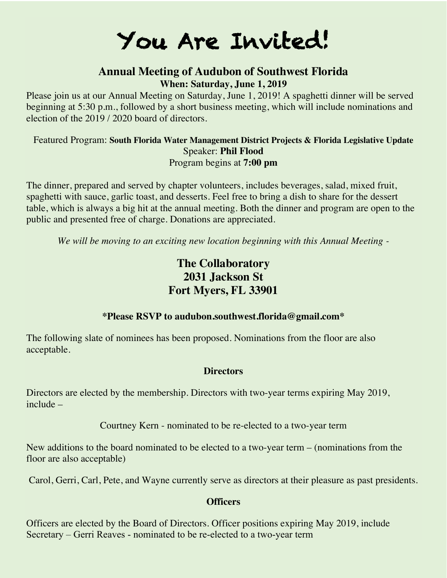## You Are Invited!

#### **Annual Meeting of Audubon of Southwest Florida When: Saturday, June 1, 2019**

Please join us at our Annual Meeting on Saturday, June 1, 2019! A spaghetti dinner will be served beginning at 5:30 p.m., followed by a short business meeting, which will include nominations and election of the 2019 / 2020 board of directors.

#### Featured Program: **South Florida Water Management District Projects & Florida Legislative Update** Speaker: **Phil Flood** Program begins at **7:00 pm**

The dinner, prepared and served by chapter volunteers, includes beverages, salad, mixed fruit, spaghetti with sauce, garlic toast, and desserts. Feel free to bring a dish to share for the dessert table, which is always a big hit at the annual meeting. Both the dinner and program are open to the public and presented free of charge. Donations are appreciated.

*We will be moving to an exciting new location beginning with this Annual Meeting -*

#### **The Collaboratory 2031 Jackson St Fort Myers, FL 33901**

#### **\*Please RSVP to audubon.southwest.florida@gmail.com\***

The following slate of nominees has been proposed. Nominations from the floor are also acceptable.

#### **Directors**

Directors are elected by the membership. Directors with two-year terms expiring May 2019, include –

Courtney Kern - nominated to be re-elected to a two-year term

New additions to the board nominated to be elected to a two-year term – (nominations from the floor are also acceptable)

Carol, Gerri, Carl, Pete, and Wayne currently serve as directors at their pleasure as past presidents.

#### **Officers**

Officers are elected by the Board of Directors. Officer positions expiring May 2019, include Secretary – Gerri Reaves - nominated to be re-elected to a two-year term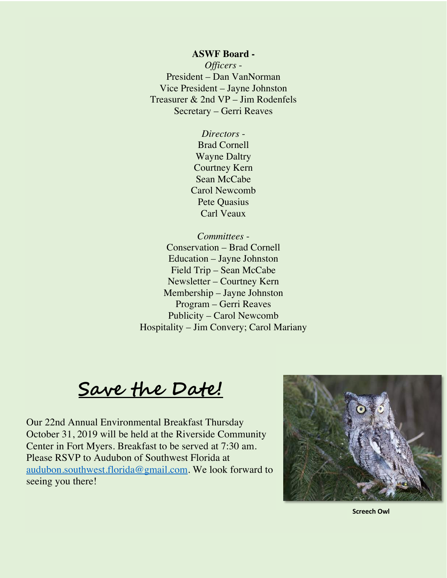#### **ASWF Board -**

*Officers* - President – Dan VanNorman Vice President – Jayne Johnston Treasurer & 2nd VP – Jim Rodenfels Secretary – Gerri Reaves

> *Directors* - Brad Cornell Wayne Daltry Courtney Kern Sean McCabe Carol Newcomb Pete Quasius Carl Veaux

*Committees* - Conservation – Brad Cornell Education – Jayne Johnston Field Trip – Sean McCabe Newsletter – Courtney Kern Membership – Jayne Johnston Program – Gerri Reaves Publicity – Carol Newcomb Hospitality – Jim Convery; Carol Mariany

**Save the Date!**

Our 22nd Annual Environmental Breakfast Thursday October 31, 2019 will be held at the Riverside Community Center in Fort Myers. Breakfast to be served at 7:30 am. Please RSVP to Audubon of Southwest Florida at audubon.southwest.florida@gmail.com. We look forward to seeing you there!



**Screech Owl**